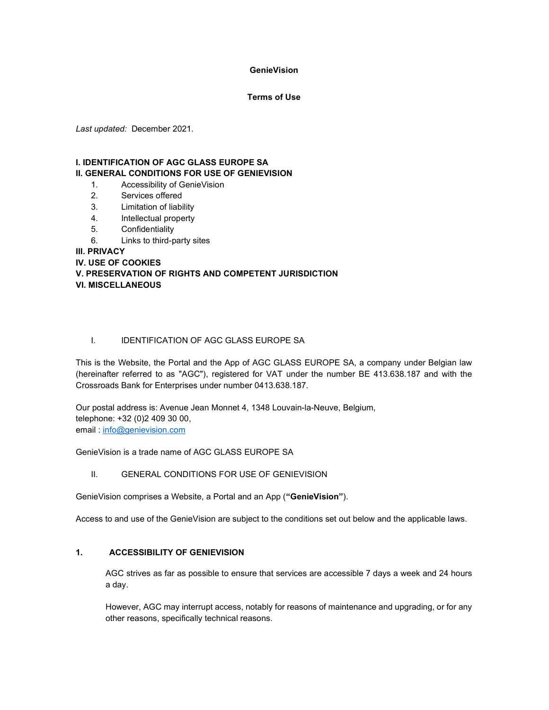#### **GenieVision**

#### Terms of Use

Last updated: December 2021.

#### I. IDENTIFICATION OF AGC GLASS EUROPE SA II. GENERAL CONDITIONS FOR USE OF GENIEVISION

- 1. Accessibility of GenieVision
- 2. Services offered
- 3. Limitation of liability
- 4. Intellectual property
- 5. Confidentiality
- 6. Links to third-party sites

III. PRIVACY

IV. USE OF COOKIES

## V. PRESERVATION OF RIGHTS AND COMPETENT JURISDICTION VI. MISCELLANEOUS

## I. IDENTIFICATION OF AGC GLASS EUROPE SA

This is the Website, the Portal and the App of AGC GLASS EUROPE SA, a company under Belgian law (hereinafter referred to as "AGC"), registered for VAT under the number BE 413.638.187 and with the Crossroads Bank for Enterprises under number 0413.638.187.

Our postal address is: Avenue Jean Monnet 4, 1348 Louvain-la-Neuve, Belgium, telephone: +32 (0)2 409 30 00, email : info@genievision.com

GenieVision is a trade name of AGC GLASS EUROPE SA

II. GENERAL CONDITIONS FOR USE OF GENIEVISION

GenieVision comprises a Website, a Portal and an App ("GenieVision").

Access to and use of the GenieVision are subject to the conditions set out below and the applicable laws.

# 1. ACCESSIBILITY OF GENIEVISION

AGC strives as far as possible to ensure that services are accessible 7 days a week and 24 hours a day.

However, AGC may interrupt access, notably for reasons of maintenance and upgrading, or for any other reasons, specifically technical reasons.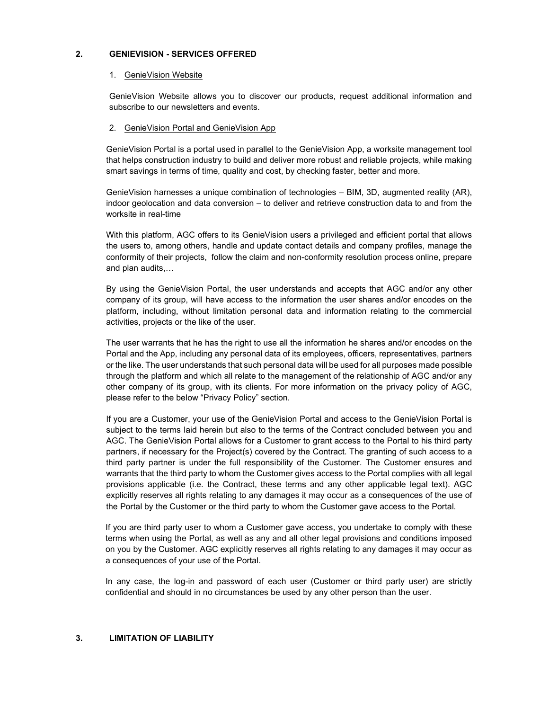#### 2. GENIEVISION - SERVICES OFFERED

#### 1. GenieVision Website

GenieVision Website allows you to discover our products, request additional information and subscribe to our newsletters and events.

#### 2. GenieVision Portal and GenieVision App

GenieVision Portal is a portal used in parallel to the GenieVision App, a worksite management tool that helps construction industry to build and deliver more robust and reliable projects, while making smart savings in terms of time, quality and cost, by checking faster, better and more.

GenieVision harnesses a unique combination of technologies – BIM, 3D, augmented reality (AR), indoor geolocation and data conversion – to deliver and retrieve construction data to and from the worksite in real-time

With this platform, AGC offers to its GenieVision users a privileged and efficient portal that allows the users to, among others, handle and update contact details and company profiles, manage the conformity of their projects, follow the claim and non-conformity resolution process online, prepare and plan audits,…

By using the GenieVision Portal, the user understands and accepts that AGC and/or any other company of its group, will have access to the information the user shares and/or encodes on the platform, including, without limitation personal data and information relating to the commercial activities, projects or the like of the user.

The user warrants that he has the right to use all the information he shares and/or encodes on the Portal and the App, including any personal data of its employees, officers, representatives, partners or the like. The user understands that such personal data will be used for all purposes made possible through the platform and which all relate to the management of the relationship of AGC and/or any other company of its group, with its clients. For more information on the privacy policy of AGC, please refer to the below "Privacy Policy" section.

If you are a Customer, your use of the GenieVision Portal and access to the GenieVision Portal is subject to the terms laid herein but also to the terms of the Contract concluded between you and AGC. The GenieVision Portal allows for a Customer to grant access to the Portal to his third party partners, if necessary for the Project(s) covered by the Contract. The granting of such access to a third party partner is under the full responsibility of the Customer. The Customer ensures and warrants that the third party to whom the Customer gives access to the Portal complies with all legal provisions applicable (i.e. the Contract, these terms and any other applicable legal text). AGC explicitly reserves all rights relating to any damages it may occur as a consequences of the use of the Portal by the Customer or the third party to whom the Customer gave access to the Portal.

If you are third party user to whom a Customer gave access, you undertake to comply with these terms when using the Portal, as well as any and all other legal provisions and conditions imposed on you by the Customer. AGC explicitly reserves all rights relating to any damages it may occur as a consequences of your use of the Portal.

In any case, the log-in and password of each user (Customer or third party user) are strictly confidential and should in no circumstances be used by any other person than the user.

## 3. LIMITATION OF LIABILITY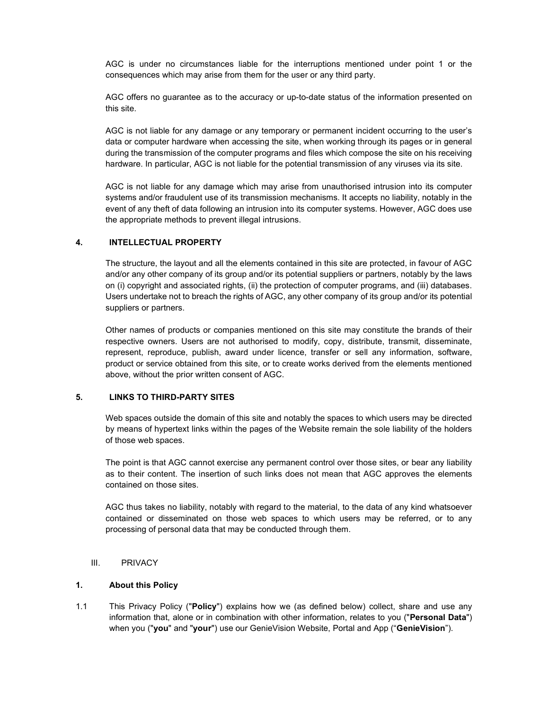AGC is under no circumstances liable for the interruptions mentioned under point 1 or the consequences which may arise from them for the user or any third party.

AGC offers no guarantee as to the accuracy or up-to-date status of the information presented on this site.

AGC is not liable for any damage or any temporary or permanent incident occurring to the user's data or computer hardware when accessing the site, when working through its pages or in general during the transmission of the computer programs and files which compose the site on his receiving hardware. In particular, AGC is not liable for the potential transmission of any viruses via its site.

AGC is not liable for any damage which may arise from unauthorised intrusion into its computer systems and/or fraudulent use of its transmission mechanisms. It accepts no liability, notably in the event of any theft of data following an intrusion into its computer systems. However, AGC does use the appropriate methods to prevent illegal intrusions.

#### 4. INTELLECTUAL PROPERTY

The structure, the layout and all the elements contained in this site are protected, in favour of AGC and/or any other company of its group and/or its potential suppliers or partners, notably by the laws on (i) copyright and associated rights, (ii) the protection of computer programs, and (iii) databases. Users undertake not to breach the rights of AGC, any other company of its group and/or its potential suppliers or partners.

Other names of products or companies mentioned on this site may constitute the brands of their respective owners. Users are not authorised to modify, copy, distribute, transmit, disseminate, represent, reproduce, publish, award under licence, transfer or sell any information, software, product or service obtained from this site, or to create works derived from the elements mentioned above, without the prior written consent of AGC.

## 5. LINKS TO THIRD-PARTY SITES

Web spaces outside the domain of this site and notably the spaces to which users may be directed by means of hypertext links within the pages of the Website remain the sole liability of the holders of those web spaces.

The point is that AGC cannot exercise any permanent control over those sites, or bear any liability as to their content. The insertion of such links does not mean that AGC approves the elements contained on those sites.

AGC thus takes no liability, notably with regard to the material, to the data of any kind whatsoever contained or disseminated on those web spaces to which users may be referred, or to any processing of personal data that may be conducted through them.

## III. PRIVACY

#### 1. About this Policy

1.1 This Privacy Policy ("Policy") explains how we (as defined below) collect, share and use any information that, alone or in combination with other information, relates to you ("Personal Data") when you ("you" and "your") use our GenieVision Website, Portal and App ("GenieVision").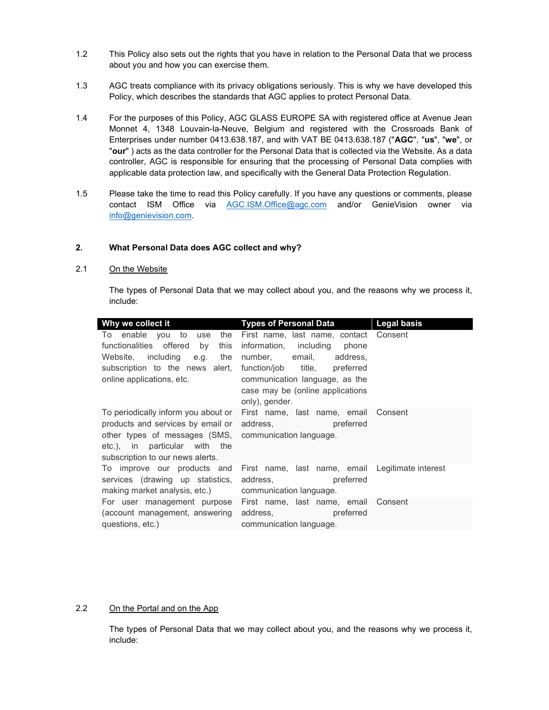- 1.2 This Policy also sets out the rights that you have in relation to the Personal Data that we process about you and how you can exercise them.
- 1.3 AGC treats compliance with its privacy obligations seriously. This is why we have developed this Policy, which describes the standards that AGC applies to protect Personal Data.
- 1.4 For the purposes of this Policy, AGC GLASS EUROPE SA with registered office at Avenue Jean Monnet 4, 1348 Louvain-la-Neuve, Belgium and registered with the Crossroads Bank of Enterprises under number 0413.638.187, and with VAT BE 0413.638.187 ("AGC", "us", "we", or "our" ) acts as the data controller for the Personal Data that is collected via the Website. As a data controller, AGC is responsible for ensuring that the processing of Personal Data complies with applicable data protection law, and specifically with the General Data Protection Regulation.
- 1.5 Please take the time to read this Policy carefully. If you have any questions or comments, please contact ISM Office via AGC.ISM.Office@agc.com and/or GenieVision owner via info@genievision.com.

#### 2. What Personal Data does AGC collect and why?

#### 2.1 On the Website

The types of Personal Data that we may collect about you, and the reasons why we process it, include:

| Why we collect it                                                                                                                                                                                               | Types of Personal Data Legal basis                                                                                                                                                                                         |  |
|-----------------------------------------------------------------------------------------------------------------------------------------------------------------------------------------------------------------|----------------------------------------------------------------------------------------------------------------------------------------------------------------------------------------------------------------------------|--|
| To enable you to use the<br>functionalities offered by<br>this<br>Website, including e.g.<br>the<br>subscription to the news alert,<br>online applications, etc.                                                | First name, last name, contact Consent<br>information, including phone<br>number, email, address,<br>function/job title, preferred<br>communication language, as the<br>case may be (online applications<br>only), gender. |  |
| To periodically inform you about or<br>products and services by email or address,<br>other types of messages (SMS, communication language.<br>etc.), in particular with the<br>subscription to our news alerts. | First name, last name, email Consent<br>preferred                                                                                                                                                                          |  |
| To improve our products and<br>services (drawing up statistics, address, the preferred<br>making market analysis, etc.) communication language.                                                                 | First name, last name, email Legitimate interest                                                                                                                                                                           |  |
| For user management purpose First name, last name, email Consent<br>(account management, answering address, entitled preferred<br>questions, etc.)                                                              | communication language.                                                                                                                                                                                                    |  |

## 2.2 On the Portal and on the App

The types of Personal Data that we may collect about you, and the reasons why we process it, include: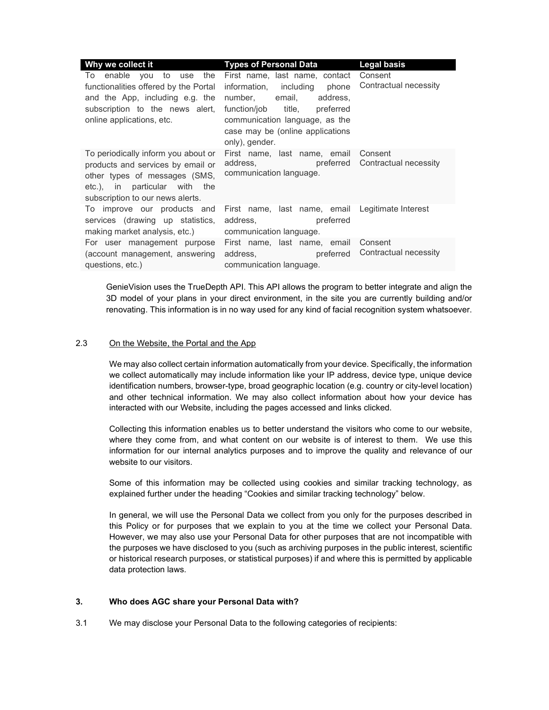| Why we collect it                                                                                                                                                                                           | <b>Types of Personal Data</b>                                                                                                                                                                                                                                          | <b>Legal basis</b>               |
|-------------------------------------------------------------------------------------------------------------------------------------------------------------------------------------------------------------|------------------------------------------------------------------------------------------------------------------------------------------------------------------------------------------------------------------------------------------------------------------------|----------------------------------|
| To enable you to use the First_name,_last_name,_contact_Consent<br>functionalities offered by the Portal<br>and the App, including e.g. the<br>subscription to the news alert,<br>online applications, etc. | information, including phone<br>number, email,<br>address,<br>function/job title, preferred<br>communication language, as the<br>case may be (online applications<br>only), gender.                                                                                    | Contractual necessity            |
| To periodically inform you about or<br>products and services by email or<br>other types of messages (SMS,<br>etc.), in particular with the<br>subscription to our news alerts.                              | First name, last name, email Consent<br>address, preferred Contractual necessity<br>communication language.                                                                                                                                                            |                                  |
| To improve our products and<br>services (drawing up statistics,<br>making market analysis, etc.) communication language.                                                                                    | First name, last name, email Legitimate Interest<br>address, and the state of the state of the state of the state of the state of the state of the state of the sta<br>preferred                                                                                       |                                  |
| For user management purpose First name, last name, email<br>(account management, answering<br>questions, etc.)                                                                                              | address, and the state of the state of the state of the state of the state of the state of the state of the state of the state of the state of the state of the state of the state of the state of the state of the state of t<br>preferred<br>communication language. | Consent<br>Contractual necessity |

GenieVision uses the TrueDepth API. This API allows the program to better integrate and align the 3D model of your plans in your direct environment, in the site you are currently building and/or renovating. This information is in no way used for any kind of facial recognition system whatsoever.

#### 2.3 On the Website, the Portal and the App

We may also collect certain information automatically from your device. Specifically, the information we collect automatically may include information like your IP address, device type, unique device identification numbers, browser-type, broad geographic location (e.g. country or city-level location) and other technical information. We may also collect information about how your device has interacted with our Website, including the pages accessed and links clicked.

Collecting this information enables us to better understand the visitors who come to our website, where they come from, and what content on our website is of interest to them. We use this information for our internal analytics purposes and to improve the quality and relevance of our website to our visitors.

Some of this information may be collected using cookies and similar tracking technology, as explained further under the heading "Cookies and similar tracking technology" below.

In general, we will use the Personal Data we collect from you only for the purposes described in this Policy or for purposes that we explain to you at the time we collect your Personal Data. However, we may also use your Personal Data for other purposes that are not incompatible with the purposes we have disclosed to you (such as archiving purposes in the public interest, scientific or historical research purposes, or statistical purposes) if and where this is permitted by applicable data protection laws.

#### 3. Who does AGC share your Personal Data with?

3.1 We may disclose your Personal Data to the following categories of recipients: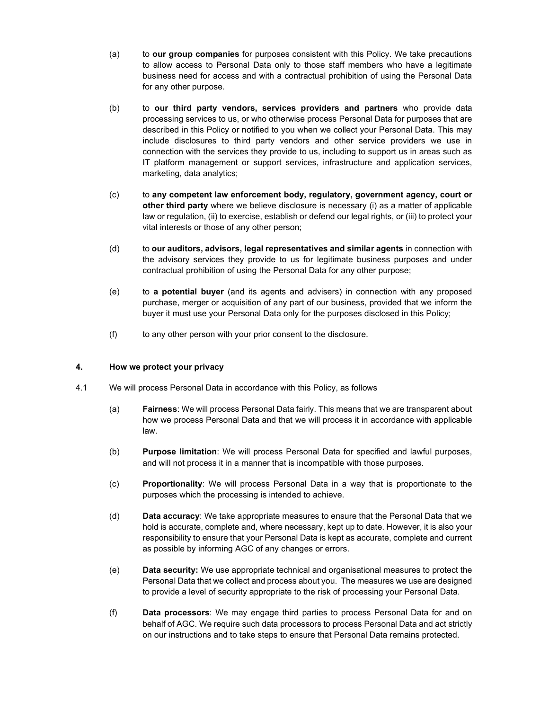- (a) to our group companies for purposes consistent with this Policy. We take precautions to allow access to Personal Data only to those staff members who have a legitimate business need for access and with a contractual prohibition of using the Personal Data for any other purpose.
- (b) to our third party vendors, services providers and partners who provide data processing services to us, or who otherwise process Personal Data for purposes that are described in this Policy or notified to you when we collect your Personal Data. This may include disclosures to third party vendors and other service providers we use in connection with the services they provide to us, including to support us in areas such as IT platform management or support services, infrastructure and application services, marketing, data analytics;
- (c) to any competent law enforcement body, regulatory, government agency, court or other third party where we believe disclosure is necessary (i) as a matter of applicable law or regulation, (ii) to exercise, establish or defend our legal rights, or (iii) to protect your vital interests or those of any other person;
- (d) to our auditors, advisors, legal representatives and similar agents in connection with the advisory services they provide to us for legitimate business purposes and under contractual prohibition of using the Personal Data for any other purpose;
- (e) to a potential buyer (and its agents and advisers) in connection with any proposed purchase, merger or acquisition of any part of our business, provided that we inform the buyer it must use your Personal Data only for the purposes disclosed in this Policy;
- (f) to any other person with your prior consent to the disclosure.

## 4. How we protect your privacy

- 4.1 We will process Personal Data in accordance with this Policy, as follows
	- (a) Fairness: We will process Personal Data fairly. This means that we are transparent about how we process Personal Data and that we will process it in accordance with applicable law.
	- (b) Purpose limitation: We will process Personal Data for specified and lawful purposes, and will not process it in a manner that is incompatible with those purposes.
	- (c) Proportionality: We will process Personal Data in a way that is proportionate to the purposes which the processing is intended to achieve.
	- (d) Data accuracy: We take appropriate measures to ensure that the Personal Data that we hold is accurate, complete and, where necessary, kept up to date. However, it is also your responsibility to ensure that your Personal Data is kept as accurate, complete and current as possible by informing AGC of any changes or errors.
	- (e) Data security: We use appropriate technical and organisational measures to protect the Personal Data that we collect and process about you. The measures we use are designed to provide a level of security appropriate to the risk of processing your Personal Data.
	- (f) Data processors: We may engage third parties to process Personal Data for and on behalf of AGC. We require such data processors to process Personal Data and act strictly on our instructions and to take steps to ensure that Personal Data remains protected.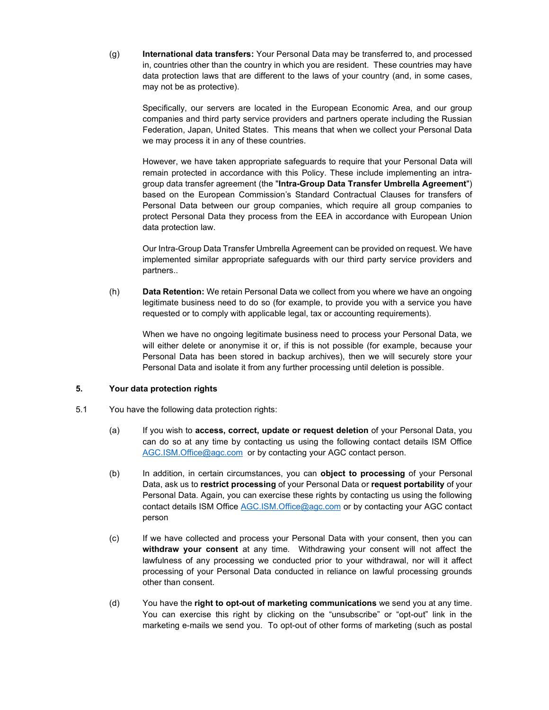(g) International data transfers: Your Personal Data may be transferred to, and processed in, countries other than the country in which you are resident. These countries may have data protection laws that are different to the laws of your country (and, in some cases, may not be as protective).

Specifically, our servers are located in the European Economic Area, and our group companies and third party service providers and partners operate including the Russian Federation, Japan, United States. This means that when we collect your Personal Data we may process it in any of these countries.

However, we have taken appropriate safeguards to require that your Personal Data will remain protected in accordance with this Policy. These include implementing an intragroup data transfer agreement (the "Intra-Group Data Transfer Umbrella Agreement") based on the European Commission's Standard Contractual Clauses for transfers of Personal Data between our group companies, which require all group companies to protect Personal Data they process from the EEA in accordance with European Union data protection law.

Our Intra-Group Data Transfer Umbrella Agreement can be provided on request. We have implemented similar appropriate safeguards with our third party service providers and partners..

(h) Data Retention: We retain Personal Data we collect from you where we have an ongoing legitimate business need to do so (for example, to provide you with a service you have requested or to comply with applicable legal, tax or accounting requirements).

When we have no ongoing legitimate business need to process your Personal Data, we will either delete or anonymise it or, if this is not possible (for example, because your Personal Data has been stored in backup archives), then we will securely store your Personal Data and isolate it from any further processing until deletion is possible.

## 5. Your data protection rights

- 5.1 You have the following data protection rights:
	- (a) If you wish to **access, correct, update or request deletion** of your Personal Data, you can do so at any time by contacting us using the following contact details ISM Office AGC.ISM.Office@agc.com or by contacting your AGC contact person.
	- (b) In addition, in certain circumstances, you can **object to processing** of your Personal Data, ask us to restrict processing of your Personal Data or request portability of your Personal Data. Again, you can exercise these rights by contacting us using the following contact details ISM Office AGC.ISM.Office@agc.com or by contacting your AGC contact person
	- (c) If we have collected and process your Personal Data with your consent, then you can withdraw your consent at any time. Withdrawing your consent will not affect the lawfulness of any processing we conducted prior to your withdrawal, nor will it affect processing of your Personal Data conducted in reliance on lawful processing grounds other than consent.
	- (d) You have the right to opt-out of marketing communications we send you at any time. You can exercise this right by clicking on the "unsubscribe" or "opt-out" link in the marketing e-mails we send you. To opt-out of other forms of marketing (such as postal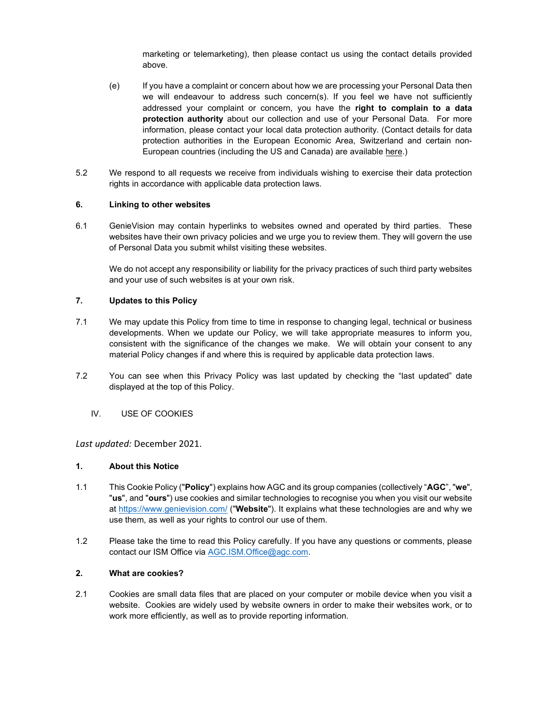marketing or telemarketing), then please contact us using the contact details provided above.

- (e) If you have a complaint or concern about how we are processing your Personal Data then we will endeavour to address such concern(s). If you feel we have not sufficiently addressed your complaint or concern, you have the right to complain to a data protection authority about our collection and use of your Personal Data. For more information, please contact your local data protection authority. (Contact details for data protection authorities in the European Economic Area, Switzerland and certain non-European countries (including the US and Canada) are available here.)
- 5.2 We respond to all requests we receive from individuals wishing to exercise their data protection rights in accordance with applicable data protection laws.

## 6. Linking to other websites

6.1 GenieVision may contain hyperlinks to websites owned and operated by third parties. These websites have their own privacy policies and we urge you to review them. They will govern the use of Personal Data you submit whilst visiting these websites.

We do not accept any responsibility or liability for the privacy practices of such third party websites and your use of such websites is at your own risk.

#### 7. Updates to this Policy

- 7.1 We may update this Policy from time to time in response to changing legal, technical or business developments. When we update our Policy, we will take appropriate measures to inform you, consistent with the significance of the changes we make. We will obtain your consent to any material Policy changes if and where this is required by applicable data protection laws.
- 7.2 You can see when this Privacy Policy was last updated by checking the "last updated" date displayed at the top of this Policy.
	- IV. USE OF COOKIES

Last updated: December 2021.

#### 1. About this Notice

- 1.1 This Cookie Policy ("Policy") explains how AGC and its group companies (collectively "AGC", "we", "us", and "ours") use cookies and similar technologies to recognise you when you visit our website at https://www.genievision.com/ ("Website"). It explains what these technologies are and why we use them, as well as your rights to control our use of them.
- 1.2 Please take the time to read this Policy carefully. If you have any questions or comments, please contact our ISM Office via AGC.ISM.Office@agc.com.

#### 2. What are cookies?

2.1 Cookies are small data files that are placed on your computer or mobile device when you visit a website. Cookies are widely used by website owners in order to make their websites work, or to work more efficiently, as well as to provide reporting information.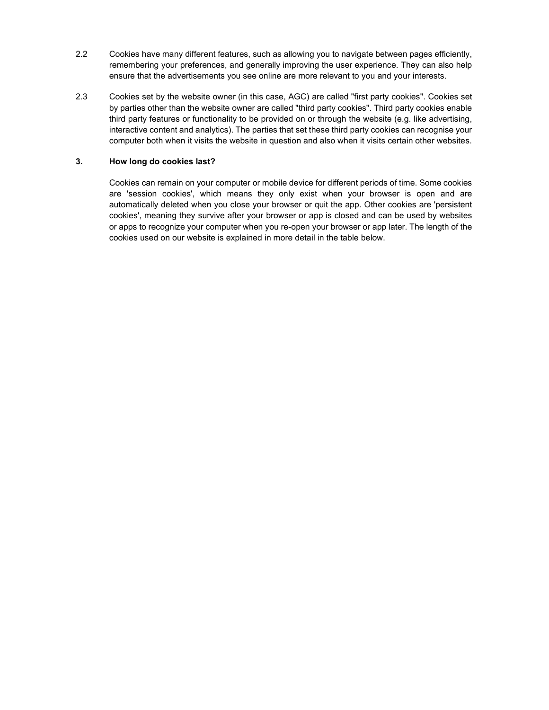- 2.2 Cookies have many different features, such as allowing you to navigate between pages efficiently, remembering your preferences, and generally improving the user experience. They can also help ensure that the advertisements you see online are more relevant to you and your interests.
- 2.3 Cookies set by the website owner (in this case, AGC) are called "first party cookies". Cookies set by parties other than the website owner are called "third party cookies". Third party cookies enable third party features or functionality to be provided on or through the website (e.g. like advertising, interactive content and analytics). The parties that set these third party cookies can recognise your computer both when it visits the website in question and also when it visits certain other websites.

## 3. How long do cookies last?

Cookies can remain on your computer or mobile device for different periods of time. Some cookies are 'session cookies', which means they only exist when your browser is open and are automatically deleted when you close your browser or quit the app. Other cookies are 'persistent cookies', meaning they survive after your browser or app is closed and can be used by websites or apps to recognize your computer when you re-open your browser or app later. The length of the cookies used on our website is explained in more detail in the table below.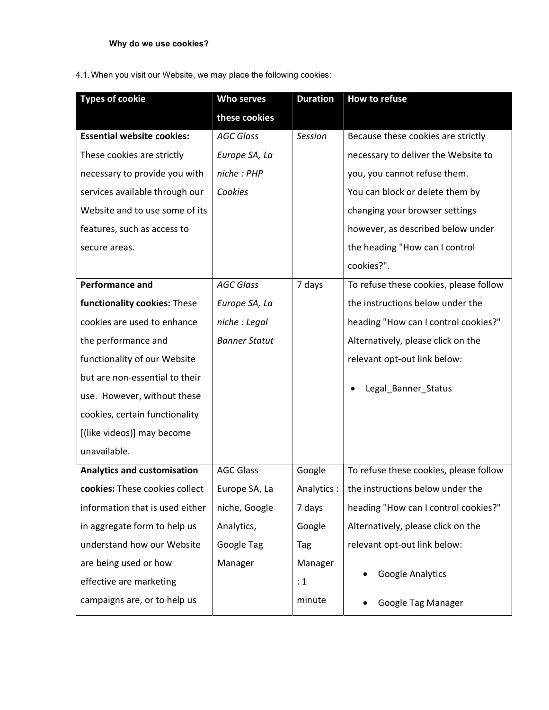# 4.1. When you visit our Website, we may place the following cookies:

| <b>Types of cookie</b>             | Who serves           | <b>Duration</b> | How to refuse                                  |  |
|------------------------------------|----------------------|-----------------|------------------------------------------------|--|
|                                    | these cookies        |                 |                                                |  |
| <b>Essential website cookies:</b>  | <b>AGC Glass</b>     | Session         | Because these cookies are strictly             |  |
| These cookies are strictly         | Europe SA, La        |                 | necessary to deliver the Website to            |  |
| necessary to provide you with      | niche : PHP          |                 | you, you cannot refuse them.                   |  |
| services available through our     | Cookies              |                 | You can block or delete them by                |  |
| Website and to use some of its     |                      |                 | changing your browser settings                 |  |
| features, such as access to        |                      |                 | however, as described below under              |  |
| secure areas.                      |                      |                 | the heading "How can I control                 |  |
|                                    |                      |                 | cookies?".                                     |  |
| <b>Performance and</b>             | <b>AGC Glass</b>     | 7 days          | To refuse these cookies, please follow         |  |
| functionality cookies: These       | Europe SA, La        |                 | the instructions below under the               |  |
| cookies are used to enhance        | niche : Legal        |                 | heading "How can I control cookies?"           |  |
| the performance and                | <b>Banner Statut</b> |                 | Alternatively, please click on the             |  |
| functionality of our Website       |                      |                 | relevant opt-out link below:                   |  |
| but are non-essential to their     |                      |                 |                                                |  |
| use. However, without these        |                      |                 | Legal_Banner_Status                            |  |
| cookies, certain functionality     |                      |                 |                                                |  |
| [(like videos)] may become         |                      |                 |                                                |  |
| unavailable.                       |                      |                 |                                                |  |
| <b>Analytics and customisation</b> | <b>AGC Glass</b>     | Google          | To refuse these cookies, please follow         |  |
| cookies: These cookies collect     | Europe SA, La        |                 | Analytics :   the instructions below under the |  |
| information that is used either    | niche, Google        | 7 days          | heading "How can I control cookies?"           |  |
| in aggregate form to help us       | Analytics,           | Google          | Alternatively, please click on the             |  |
| understand how our Website         | Google Tag           | Tag             | relevant opt-out link below:                   |  |
| are being used or how              | Manager              | Manager         |                                                |  |
| effective are marketing            |                      | : 1             | Google Analytics                               |  |
| campaigns are, or to help us       |                      | minute          | Google Tag Manager                             |  |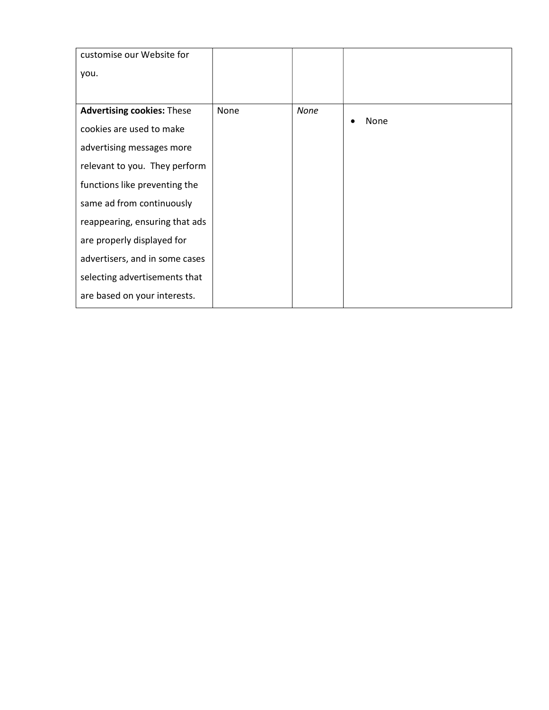| customise our Website for         |      |      |      |
|-----------------------------------|------|------|------|
| you.                              |      |      |      |
|                                   |      |      |      |
| <b>Advertising cookies: These</b> | None | None |      |
| cookies are used to make          |      |      | None |
| advertising messages more         |      |      |      |
| relevant to you. They perform     |      |      |      |
| functions like preventing the     |      |      |      |
| same ad from continuously         |      |      |      |
| reappearing, ensuring that ads    |      |      |      |
| are properly displayed for        |      |      |      |
| advertisers, and in some cases    |      |      |      |
| selecting advertisements that     |      |      |      |
| are based on your interests.      |      |      |      |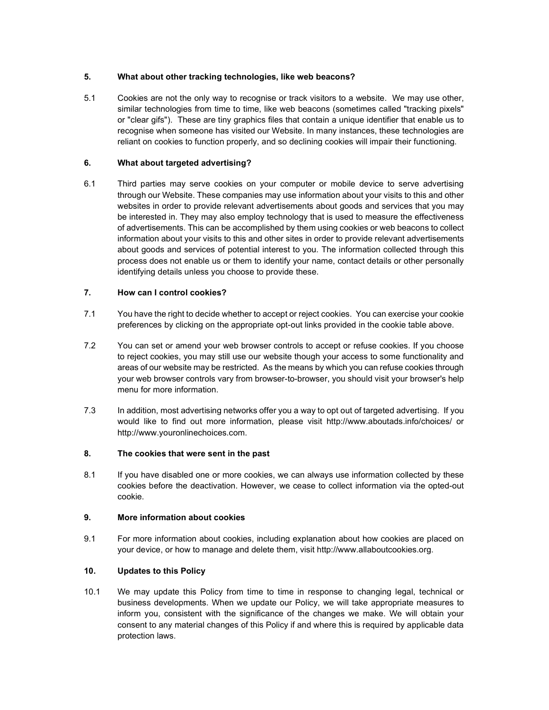## 5. What about other tracking technologies, like web beacons?

5.1 Cookies are not the only way to recognise or track visitors to a website. We may use other, similar technologies from time to time, like web beacons (sometimes called "tracking pixels" or "clear gifs"). These are tiny graphics files that contain a unique identifier that enable us to recognise when someone has visited our Website. In many instances, these technologies are reliant on cookies to function properly, and so declining cookies will impair their functioning.

# 6. What about targeted advertising?

6.1 Third parties may serve cookies on your computer or mobile device to serve advertising through our Website. These companies may use information about your visits to this and other websites in order to provide relevant advertisements about goods and services that you may be interested in. They may also employ technology that is used to measure the effectiveness of advertisements. This can be accomplished by them using cookies or web beacons to collect information about your visits to this and other sites in order to provide relevant advertisements about goods and services of potential interest to you. The information collected through this process does not enable us or them to identify your name, contact details or other personally identifying details unless you choose to provide these.

# 7. How can I control cookies?

- 7.1 You have the right to decide whether to accept or reject cookies. You can exercise your cookie preferences by clicking on the appropriate opt-out links provided in the cookie table above.
- 7.2 You can set or amend your web browser controls to accept or refuse cookies. If you choose to reject cookies, you may still use our website though your access to some functionality and areas of our website may be restricted. As the means by which you can refuse cookies through your web browser controls vary from browser-to-browser, you should visit your browser's help menu for more information.
- 7.3 In addition, most advertising networks offer you a way to opt out of targeted advertising. If you would like to find out more information, please visit http://www.aboutads.info/choices/ or http://www.youronlinechoices.com.

## 8. The cookies that were sent in the past

8.1 If you have disabled one or more cookies, we can always use information collected by these cookies before the deactivation. However, we cease to collect information via the opted-out cookie.

# 9. More information about cookies

9.1 For more information about cookies, including explanation about how cookies are placed on your device, or how to manage and delete them, visit http://www.allaboutcookies.org.

# 10. Updates to this Policy

10.1 We may update this Policy from time to time in response to changing legal, technical or business developments. When we update our Policy, we will take appropriate measures to inform you, consistent with the significance of the changes we make. We will obtain your consent to any material changes of this Policy if and where this is required by applicable data protection laws.